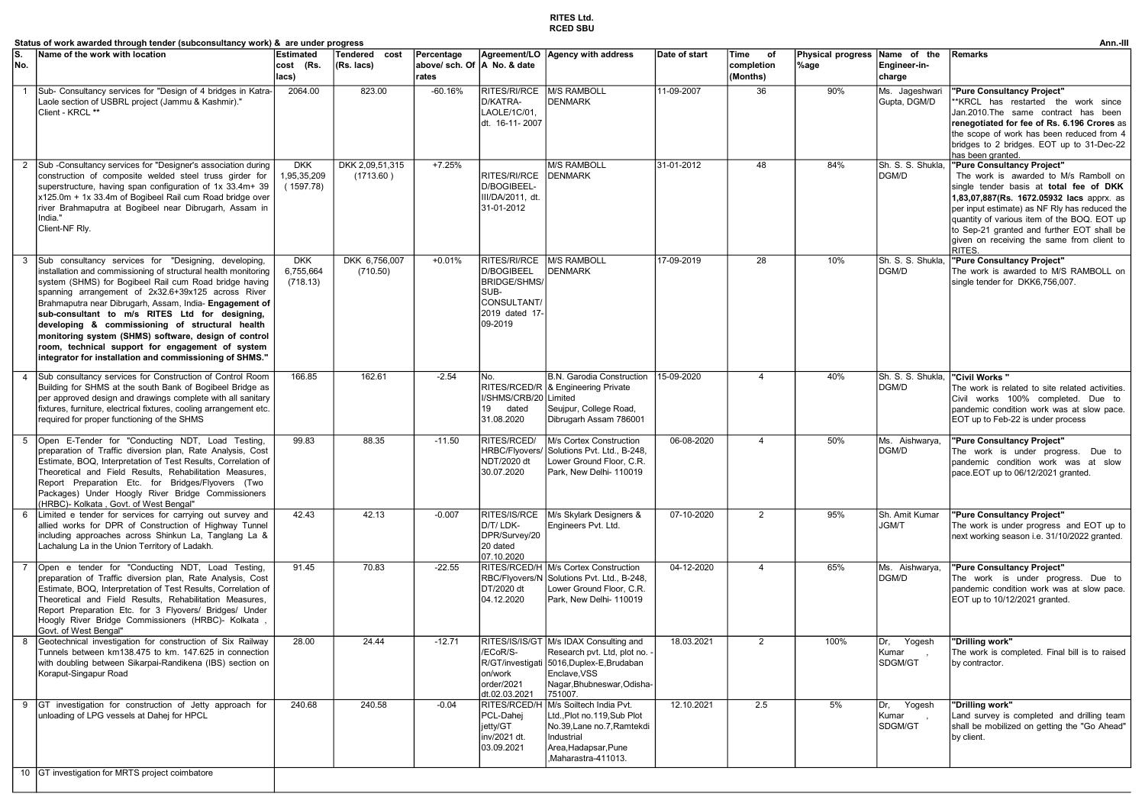## RITES Ltd. RCED SBU

|                | Status of work awarded through tender (subconsultancy work) &  are under progress                                                                                                                                                                                                                                                                                                                                                                                                                                                                                             |                                        |                              |                                       |                                                                                                       |                                                                                                                                                                            |               |                                      |                                  |                                       | Ann.-III                                                                                                                                                                                                                                                                                                                                                          |
|----------------|-------------------------------------------------------------------------------------------------------------------------------------------------------------------------------------------------------------------------------------------------------------------------------------------------------------------------------------------------------------------------------------------------------------------------------------------------------------------------------------------------------------------------------------------------------------------------------|----------------------------------------|------------------------------|---------------------------------------|-------------------------------------------------------------------------------------------------------|----------------------------------------------------------------------------------------------------------------------------------------------------------------------------|---------------|--------------------------------------|----------------------------------|---------------------------------------|-------------------------------------------------------------------------------------------------------------------------------------------------------------------------------------------------------------------------------------------------------------------------------------------------------------------------------------------------------------------|
| No.            | Name of the work with location                                                                                                                                                                                                                                                                                                                                                                                                                                                                                                                                                | <b>Estimated</b><br>cost (Rs.<br>lacs) | Tendered cost<br>(Rs. lacs)  | Percentage<br>above/ sch. Of<br>rates | A No. & date                                                                                          | Agreement/LO   Agency with address                                                                                                                                         | Date of start | Time<br>of<br>completion<br>(Months) | <b>Physical progress</b><br>%age | Name of the<br>Engineer-in-<br>charge | Remarks                                                                                                                                                                                                                                                                                                                                                           |
| $\overline{1}$ | Sub- Consultancy services for "Design of 4 bridges in Katra-<br>Laole section of USBRL project (Jammu & Kashmir)."<br>Client - KRCL **                                                                                                                                                                                                                                                                                                                                                                                                                                        | 2064.00                                | 823.00                       | $-60.16%$                             | RITES/RI/RCE<br>D/KATRA-<br>LAOLE/1C/01,<br>dt. 16-11-2007                                            | M/S RAMBOLL<br><b>DENMARK</b>                                                                                                                                              | 11-09-2007    | 36                                   | 90%                              | Ms. Jageshwari<br>Gupta, DGM/D        | "Pure Consultancy Project"<br>*KRCL has restarted the work since<br>Jan.2010.The same contract has been<br>renegotiated for fee of Rs. 6.196 Crores as<br>the scope of work has been reduced from 4<br>bridges to 2 bridges. EOT up to 31-Dec-22<br>has been granted.                                                                                             |
| 2              | Sub-Consultancy services for "Designer's association during<br>construction of composite welded steel truss girder for<br>superstructure, having span configuration of 1x 33.4m+ 39<br>x125.0m + 1x 33.4m of Bogibeel Rail cum Road bridge over<br>river Brahmaputra at Bogibeel near Dibrugarh, Assam in<br>India."<br>Client-NF Rly.                                                                                                                                                                                                                                        | <b>DKK</b><br>1,95,35,209<br>(1597.78) | DKK 2,09,51,315<br>(1713.60) | $+7.25%$                              | RITES/RI/RCE<br>D/BOGIBEEL-<br>III/DA/2011, dt.<br>31-01-2012                                         | <b>M/S RAMBOLL</b><br><b>DENMARK</b>                                                                                                                                       | 31-01-2012    | 48                                   | 84%                              | Sh. S. S. Shukla,<br>DGM/D            | "Pure Consultancy Project"<br>The work is awarded to M/s Ramboll on<br>single tender basis at total fee of DKK<br>1,83,07,887(Rs. 1672.05932 lacs apprx. as<br>per input estimate) as NF Rly has reduced the<br>quantity of various item of the BOQ. EOT up<br>to Sep-21 granted and further EOT shall be<br>given on receiving the same from client to<br>RITES. |
|                | Sub consultancy services for "Designing, developing,<br>installation and commissioning of structural health monitoring<br>system (SHMS) for Bogibeel Rail cum Road bridge having<br>spanning arrangement of 2x32.6+39x125 across River<br>Brahmaputra near Dibrugarh, Assam, India- Engagement of<br>sub-consultant to m/s RITES Ltd for designing,<br>developing & commissioning of structural health<br>monitoring system (SHMS) software, design of control<br>room, technical support for engagement of system<br>integrator for installation and commissioning of SHMS." | <b>DKK</b><br>6,755,664<br>(718.13)    | DKK 6,756,007<br>(710.50)    | $+0.01%$                              | RITES/RI/RCE<br>D/BOGIBEEL<br><b>BRIDGE/SHMS/</b><br>SUB-<br>CONSULTANT/<br>2019 dated 17-<br>09-2019 | M/S RAMBOLL<br><b>DENMARK</b>                                                                                                                                              | 17-09-2019    | 28                                   | 10%                              | Sh. S. S. Shukla<br>DGM/D             | "Pure Consultancy Project"<br>The work is awarded to M/S RAMBOLL on<br>single tender for DKK6,756,007.                                                                                                                                                                                                                                                            |
| $\overline{4}$ | Sub consultancy services for Construction of Control Room<br>Building for SHMS at the south Bank of Bogibeel Bridge as<br>per approved design and drawings complete with all sanitary<br>fixtures, furniture, electrical fixtures, cooling arrangement etc.<br>required for proper functioning of the SHMS                                                                                                                                                                                                                                                                    | 166.85                                 | 162.61                       | $-2.54$                               | No.<br>I/SHMS/CRB/20 Limited<br>19<br>dated<br>31.08.2020                                             | B.N. Garodia Construction<br>RITES/RCED/R   & Engineering Private<br>Seujpur, College Road,<br>Dibrugarh Assam 786001                                                      | 15-09-2020    | 4                                    | 40%                              | Sh. S. S. Shukla,<br>DGM/D            | "Civil Works"<br>The work is related to site related activities.<br>Civil works 100% completed. Due to<br>pandemic condition work was at slow pace.<br>EOT up to Feb-22 is under process                                                                                                                                                                          |
| 5              | Open E-Tender for "Conducting NDT, Load Testing,<br>preparation of Traffic diversion plan, Rate Analysis, Cost<br>Estimate, BOQ, Interpretation of Test Results, Correlation of<br>Theoretical and Field Results, Rehabilitation Measures,<br>Report Preparation Etc. for Bridges/Flyovers (Two<br>Packages) Under Hoogly River Bridge Commissioners<br>HRBC)- Kolkata, Govt. of West Bengal"                                                                                                                                                                                 | 99.83                                  | 88.35                        | $-11.50$                              | RITES/RCED/<br><b>HRBC/Flyovers</b><br>NDT/2020 dt<br>30.07.2020                                      | M/s Cortex Construction<br>Solutions Pvt. Ltd., B-248,<br>Lower Ground Floor, C.R.<br>Park, New Delhi- 110019                                                              | 06-08-2020    | $\overline{4}$                       | 50%                              | Ms. Aishwarya,<br>DGM/D               | "Pure Consultancy Project"<br>The work is under progress. Due to<br>pandemic condition work was at slow<br>pace.EOT up to 06/12/2021 granted.                                                                                                                                                                                                                     |
| 6              | Limited e tender for services for carrying out survey and<br>allied works for DPR of Construction of Highway Tunnel<br>including approaches across Shinkun La, Tanglang La &<br>Lachalung La in the Union Territory of Ladakh.                                                                                                                                                                                                                                                                                                                                                | 42.43                                  | 42.13                        | $-0.007$                              | D/T/ LDK-<br>DPR/Survey/20<br>20 dated<br>07.10.2020                                                  | RITES/IS/RCE   M/s Skylark Designers &<br>Engineers Pvt. Ltd.                                                                                                              | 07-10-2020    | $\overline{2}$                       | 95%                              | Sh. Amit Kumar<br><b>JGM/T</b>        | "Pure Consultancy Project"<br>The work is under progress and EOT up to<br>next working season i.e. 31/10/2022 granted.                                                                                                                                                                                                                                            |
|                | Open e tender for "Conducting NDT, Load Testing,<br>preparation of Traffic diversion plan, Rate Analysis, Cost<br>Estimate, BOQ, Interpretation of Test Results, Correlation of<br>Theoretical and Field Results, Rehabilitation Measures,<br>Report Preparation Etc. for 3 Flyovers/ Bridges/ Under<br>Hoogly River Bridge Commissioners (HRBC)- Kolkata<br>Govt. of West Bengal"                                                                                                                                                                                            | 91.45                                  | 70.83                        | $-22.55$                              | DT/2020 dt<br>04.12.2020                                                                              | RITES/RCED/H M/s Cortex Construction<br>RBC/Flyovers/N Solutions Pvt. Ltd., B-248,<br>Lower Ground Floor, C.R.<br>Park, New Delhi- 110019                                  | 04-12-2020    | $\overline{4}$                       | 65%                              | Ms. Aishwarya,<br>DGM/D               | "Pure Consultancy Project"<br>The work is under progress. Due to<br>pandemic condition work was at slow pace.<br>EOT up to 10/12/2021 granted.                                                                                                                                                                                                                    |
| 8              | Geotechnical investigation for construction of Six Railway<br>Tunnels between km138.475 to km. 147.625 in connection<br>with doubling between Sikarpai-Randikena (IBS) section on<br>Koraput-Singapur Road                                                                                                                                                                                                                                                                                                                                                                    | 28.00                                  | 24.44                        | $-12.71$                              | /ECoR/S-<br>on/work<br>order/2021<br>dt.02.03.2021                                                    | RITES/IS/IS/GT M/s IDAX Consulting and<br>Research pvt. Ltd, plot no.<br>R/GT/investigati 5016, Duplex-E, Brudaban<br>Enclave.VSS<br>Nagar, Bhubneswar, Odisha-<br>751007. | 18.03.2021    | $\overline{2}$                       | 100%                             | Yogesh<br>Dr.<br>Kumar<br>SDGM/GT     | "Drillina work"<br>The work is completed. Final bill is to raised<br>by contractor.                                                                                                                                                                                                                                                                               |
|                | 9 GT investigation for construction of Jetty approach for<br>unloading of LPG vessels at Dahej for HPCL<br>$\sqrt{2}$                                                                                                                                                                                                                                                                                                                                                                                                                                                         | 240.68                                 | 240.58                       | $-0.04$                               | PCL-Dahej<br>jetty/GT<br>inv/2021 dt.<br>03.09.2021                                                   | RITES/RCED/H M/s Soiltech India Pvt.<br>Ltd., Plot no.119, Sub Plot<br>No.39, Lane no.7, Ramtekdi<br>Industrial<br>Area, Hadapsar, Pune<br>Maharastra-411013.              | 12.10.2021    | 2.5                                  | 5%                               | Dr.<br>Yogesh<br>Kumar<br>SDGM/GT     | "Drilling work"<br>Land survey is completed and drilling team<br>shall be mobilized on getting the "Go Ahead"<br>by client.                                                                                                                                                                                                                                       |